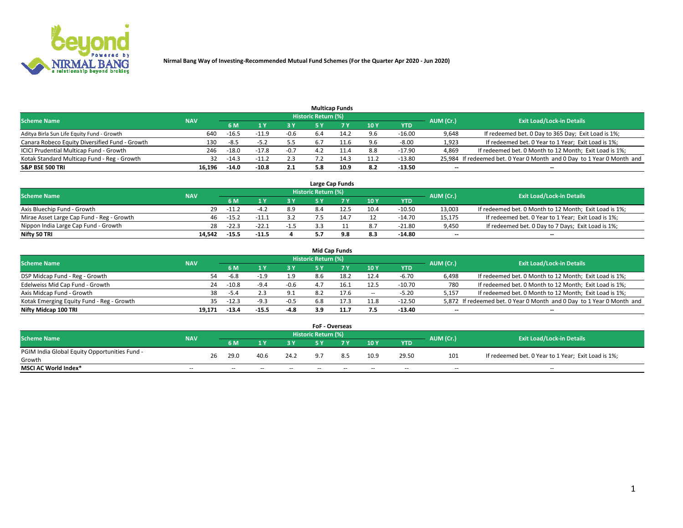

|                                                |            |         |         |        |                     | <b>Multicap Funds</b> |      |          |                          |                                                                        |
|------------------------------------------------|------------|---------|---------|--------|---------------------|-----------------------|------|----------|--------------------------|------------------------------------------------------------------------|
| <b>Scheme Name</b>                             | <b>NAV</b> |         |         |        | Historic Return (%) |                       |      |          | AUM (Cr.)                | <b>Exit Load/Lock-in Details</b>                                       |
|                                                |            | 6 M     |         |        |                     |                       | 10Y  | YTD      |                          |                                                                        |
| Aditya Birla Sun Life Equity Fund - Growth     | 640        | $-16.5$ | 11.9    | $-0.6$ | 6.4                 | 14.2                  | 9.6  | $-16.00$ | 9,648                    | If redeemed bet. 0 Day to 365 Day; Exit Load is 1%;                    |
| Canara Robeco Equity Diversified Fund - Growth | 130        | $-8.5$  | $-5.2$  | 5.5    |                     |                       | 9.6  | $-8.00$  | 1,923                    | If redeemed bet. 0 Year to 1 Year; Exit Load is 1%;                    |
| ICICI Prudential Multicap Fund - Growth        | 246        | $-18.0$ | $-17.8$ | $-0.7$ |                     |                       | 8.8  | $-17.90$ | 4,869                    | If redeemed bet. 0 Month to 12 Month; Exit Load is 1%;                 |
| Kotak Standard Multicap Fund - Reg - Growth    | 32         | $-14.3$ | $-11.2$ | 2.3    |                     | 14.3                  | 11.2 | $-13.80$ |                          | 25,984 If redeemed bet. 0 Year 0 Month and 0 Day to 1 Year 0 Month and |
| <b>S&amp;P BSE 500 TRI</b>                     | 16.196     | $-14.0$ | $-10.8$ | 2.1    | 5.8                 | 10.9                  | 8.2  | $-13.50$ | $\overline{\phantom{a}}$ | $\overline{\phantom{a}}$                                               |

|                                           |            |           |                                  |        |     | Large Cap Funds |      |          |                          |                                                        |
|-------------------------------------------|------------|-----------|----------------------------------|--------|-----|-----------------|------|----------|--------------------------|--------------------------------------------------------|
| <b>Scheme Name</b>                        | <b>NAV</b> | AUM (Cr.) | <b>Exit Load/Lock-in Details</b> |        |     |                 |      |          |                          |                                                        |
|                                           |            | 6 M       |                                  | 3 Y    |     |                 | 10Y  | YTD      |                          |                                                        |
| Axis Bluechip Fund - Growth               | 29         | $-11.7$   | -4                               | 8.9    | 8.4 | 12.÷            | 10.4 | $-10.50$ | 13,003                   | If redeemed bet. 0 Month to 12 Month; Exit Load is 1%; |
| Mirae Asset Large Cap Fund - Reg - Growth | 46         | $-15.2$   | $-11.1$                          | 3.2    |     |                 | 12   | $-14.70$ | 15,175                   | If redeemed bet. 0 Year to 1 Year; Exit Load is 1%;    |
| Nippon India Large Cap Fund - Growth      | 28         | $-22.3$   | $-22.1$                          | $-1.5$ |     |                 | 8.7  | $-21.80$ | 9,450                    | If redeemed bet. 0 Day to 7 Days; Exit Load is 1%;     |
| Nifty 50 TRI                              | 14.542     | $-15.5$   | $-11.5$                          |        |     |                 | 8.3  | -14.80   | $\overline{\phantom{a}}$ | $\overline{\phantom{a}}$                               |

|                                           |            |         |         |        |                     | <b>Mid Cap Funds</b> |        |          |           |                                                                       |
|-------------------------------------------|------------|---------|---------|--------|---------------------|----------------------|--------|----------|-----------|-----------------------------------------------------------------------|
| <b>Scheme Name</b>                        | <b>NAV</b> |         |         |        | Historic Return (%) |                      |        |          | AUM (Cr.) | <b>Exit Load/Lock-in Details</b>                                      |
|                                           |            | 6 M     |         | 3 Y    |                     |                      | 10Y    | YTD      |           |                                                                       |
| DSP Midcap Fund - Reg - Growth            | 54         | -6.8    |         | 1.9    | 8.6                 |                      | 12.4   | $-6.70$  | 6,498     | If redeemed bet. 0 Month to 12 Month; Exit Load is 1%;                |
| Edelweiss Mid Cap Fund - Growth           | 24         | $-10.8$ | $-9.4$  | $-0.6$ | $\Delta$ -          |                      | 12.5   | $-10.70$ | 780       | If redeemed bet. 0 Month to 12 Month; Exit Load is 1%;                |
| Axis Midcap Fund - Growth                 | 38         | $-5.4$  |         | 9.1    |                     | 17.6                 | $\sim$ | $-5.20$  | 5.157     | If redeemed bet. 0 Month to 12 Month; Exit Load is 1%;                |
| Kotak Emerging Equity Fund - Reg - Growth | 35.        | $-12.3$ | $-9.3$  | $-0.5$ | 6.8                 |                      | 11.8   | $-12.50$ |           | 5,872 If redeemed bet. 0 Year 0 Month and 0 Day to 1 Year 0 Month and |
| Nifty Midcap 100 TRI                      | 19.171     | $-13.4$ | $-15.5$ | $-4.8$ | 3.9                 |                      | 7.5    | $-13.40$ | --        | $\overline{\phantom{a}}$                                              |

|                                               |            |    |      |      |      | <b>FoF - Overseas</b>      |    |      |            |           |                                                     |
|-----------------------------------------------|------------|----|------|------|------|----------------------------|----|------|------------|-----------|-----------------------------------------------------|
| <b>Scheme Name</b>                            | <b>NAV</b> |    |      |      |      | <b>Historic Return (%)</b> |    |      |            | AUM (Cr.) | <b>Exit Load/Lock-in Details</b>                    |
|                                               |            |    | 6 M  |      |      |                            |    | 10Y  | <b>YTD</b> |           |                                                     |
| PGIM India Global Equity Opportunities Fund - |            | 26 | 29.0 | 40.6 | 24.2 |                            |    | 10.9 | 29.50      | 101       | If redeemed bet. 0 Year to 1 Year; Exit Load is 1%; |
| Growth                                        |            |    |      |      |      |                            |    |      |            |           |                                                     |
| <b>MSCI AC World Index*</b>                   | $- -$      |    | $-$  | $-$  | $-$  | $- -$                      | -- | $-$  | $-$        | $-$       | $-$                                                 |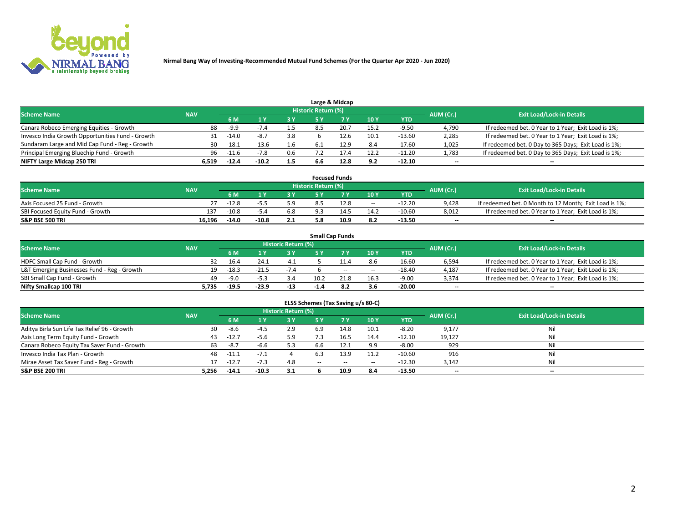

|                                                  |            |         |         |     |                            | Large & Midcap |      |            |           |                                                      |
|--------------------------------------------------|------------|---------|---------|-----|----------------------------|----------------|------|------------|-----------|------------------------------------------------------|
| <b>Scheme Name</b>                               | <b>NAV</b> |         |         |     | <b>Historic Return (%)</b> |                |      |            | AUM (Cr.) | <b>Exit Load/Lock-in Details</b>                     |
|                                                  |            | 6 M     |         | 3Y  |                            | <b>7 V</b>     | 10Y  | <b>YTD</b> |           |                                                      |
| Canara Robeco Emerging Equities - Growth         | 88         | -9.9    |         | 1.5 |                            | 20.7           | 15.2 | -9.50      | 4,790     | If redeemed bet. 0 Year to 1 Year; Exit Load is 1%;  |
| Invesco India Growth Opportunities Fund - Growth | 31         | $-14.0$ |         | 3.8 |                            |                | 10.1 | $-13.60$   | 2,285     | If redeemed bet. 0 Year to 1 Year; Exit Load is 1%;  |
| Sundaram Large and Mid Cap Fund - Reg - Growth   | 30         | $-18.1$ | $-13.6$ | 1.6 |                            |                | 8.4  | $-17.60$   | 1,025     | If redeemed bet. 0 Day to 365 Days; Exit Load is 1%; |
| Principal Emerging Bluechip Fund - Growth        | 96         | $-11.6$ |         | 0.6 |                            |                | 12.2 | $-11.20$   | 1,783     | If redeemed bet. 0 Day to 365 Days; Exit Load is 1%; |
| NIFTY Large Midcap 250 TRI                       | 6.519      | $-12.4$ | $-10.2$ | 1.5 | 6.6                        | 12.8           | 9.2  | $-12.10$   | $- -$     | --                                                   |

|                                  |            |         |         |     |                     | <b>Focused Funds</b> |       |          |           |                                                        |
|----------------------------------|------------|---------|---------|-----|---------------------|----------------------|-------|----------|-----------|--------------------------------------------------------|
| <b>Scheme Name</b>               | <b>NAV</b> |         |         |     | Historic Return (%) |                      |       |          | AUM (Cr.) | <b>Exit Load/Lock-in Details</b>                       |
|                                  |            | 6 M     |         | 2 V |                     | ע ל                  | 10Y   | YTD      |           |                                                        |
| Axis Focused 25 Fund - Growth    | 27         | $-12.8$ |         | 5.9 |                     | 12.8                 | $- -$ | $-12.20$ | 9.428     | If redeemed bet. 0 Month to 12 Month; Exit Load is 1%; |
| SBI Focused Equity Fund - Growth | 137        | $-10.8$ | -5.4    | 6.8 | 9.3                 | 14.5                 | 14.2  | $-10.60$ | 8,012     | If redeemed bet. 0 Year to 1 Year; Exit Load is 1%;    |
| <b>S&amp;P BSE 500 TRI</b>       | 16.196     | $-14.0$ | $-10.8$ | 2.1 |                     | 10.9                 | 8.2   | $-13.50$ | $- -$     | $\overline{\phantom{a}}$                               |

|                                             |            |                                  |         |        |        | <b>Small Cap Funds</b> |                          |            |       |                                                     |
|---------------------------------------------|------------|----------------------------------|---------|--------|--------|------------------------|--------------------------|------------|-------|-----------------------------------------------------|
| <b>Scheme Name</b>                          | AUM (Cr.)  | <b>Exit Load/Lock-in Details</b> |         |        |        |                        |                          |            |       |                                                     |
|                                             | <b>NAV</b> | 6 M                              |         | 3 Y    | ς ν    |                        | 10Y                      | <b>YTD</b> |       |                                                     |
| HDFC Small Cap Fund - Growth                | 32         | $-16.4$                          | $-24.1$ | $-4.1$ |        |                        | 8.6                      | $-16.60$   | 6,594 | If redeemed bet. 0 Year to 1 Year; Exit Load is 1%; |
| L&T Emerging Businesses Fund - Reg - Growth |            | $-18.3$                          | $-21.5$ | $-7.4$ |        | $- -$                  | $\overline{\phantom{a}}$ | $-18.40$   | 4,187 | If redeemed bet. 0 Year to 1 Year; Exit Load is 1%; |
| SBI Small Cap Fund - Growth                 | 49         | $-9.0$                           | $-5.3$  | 3.4    | 10.2   | 21.8                   | 16.3                     | $-9.00$    | 3,374 | If redeemed bet. 0 Year to 1 Year; Exit Load is 1%; |
| Nifty Smallcap 100 TRI                      | 5.735      | $-19.5$                          | $-23.9$ | $-13$  | $-1.4$ | -8.2                   | 3.6                      | $-20.00$   | --    | $\overline{\phantom{a}}$                            |

| ELSS Schemes (Tax Saving u/s 80-C)           |            |                                  |         |     |        |           |        |            |        |                          |  |  |  |
|----------------------------------------------|------------|----------------------------------|---------|-----|--------|-----------|--------|------------|--------|--------------------------|--|--|--|
| <b>Scheme Name</b>                           | AUM (Cr.)  | <b>Exit Load/Lock-in Details</b> |         |     |        |           |        |            |        |                          |  |  |  |
|                                              | <b>NAV</b> | 6 M                              |         | 3 Y | 5 Y    | <b>7Y</b> | 10Y    | <b>YTD</b> |        |                          |  |  |  |
| Aditya Birla Sun Life Tax Relief 96 - Growth | 30         | -8.6                             | $-4.5$  | 2.9 | 6.9    | 14.8      | 10.1   | $-8.20$    | 9,177  | Nil                      |  |  |  |
| Axis Long Term Equity Fund - Growth          | 43         | $-12.7$                          | $-5.6$  | 5.9 |        | 16.5      | 14.4   | $-12.10$   | 19,127 | Nil                      |  |  |  |
| Canara Robeco Equity Tax Saver Fund - Growth | 63         | -8.7                             | $-6.6$  | 5.3 | 6.6    |           | 9.9    | $-8.00$    | 929    | Nil                      |  |  |  |
| Invesco India Tax Plan - Growth              | 48         | $-11.1$                          |         |     |        | 13.9      | 11.2   | $-10.60$   | 916    | Nil                      |  |  |  |
| Mirae Asset Tax Saver Fund - Reg - Growth    |            | $-12.7$                          | -1.3    | 4.8 | $\sim$ | $\sim$    | $\sim$ | $-12.30$   | 3,142  | Nil                      |  |  |  |
| <b>S&amp;P BSE 200 TRI</b>                   | 5.256      | $-14.1$                          | $-10.3$ | 3.1 |        | 10.9      | 8.4    | $-13.50$   | $- -$  | $\overline{\phantom{a}}$ |  |  |  |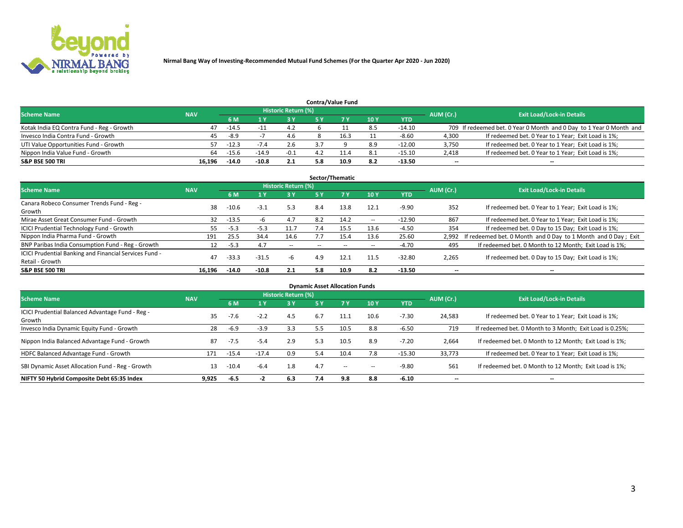

|                                           |            |         |         |                            |     | <b>Contra/Value Fund</b> |     |            |           |                                                                     |
|-------------------------------------------|------------|---------|---------|----------------------------|-----|--------------------------|-----|------------|-----------|---------------------------------------------------------------------|
| <b>Scheme Name</b>                        | <b>NAV</b> |         |         | <b>Historic Return (%)</b> |     |                          |     |            | AUM (Cr.) | <b>Exit Load/Lock-in Details</b>                                    |
|                                           |            | 6 M     |         | 3 Y                        |     |                          | 10Y | <b>YTD</b> |           |                                                                     |
| Kotak India EQ Contra Fund - Reg - Growth | 47         | $-14.5$ | -1      | 4.2                        |     |                          | 8.5 | -14.10     |           | 709 If redeemed bet. 0 Year 0 Month and 0 Day to 1 Year 0 Month and |
| Invesco India Contra Fund - Growth        | 45         | $-8.9$  |         | 4.6                        |     | 16.3                     |     | -8.60      | 4.300     | If redeemed bet. 0 Year to 1 Year; Exit Load is 1%;                 |
| UTI Value Opportunities Fund - Growth     | 57.        | $-12.3$ | $-7.4$  | 2.6                        |     |                          | 8.9 | $-12.00$   | 3,750     | If redeemed bet. 0 Year to 1 Year; Exit Load is 1%;                 |
| Nippon India Value Fund - Growth          | 64         | $-15.6$ | $-14.9$ | $-0.1$                     |     |                          | 8.1 | $-15.10$   | 2,418     | If redeemed bet. 0 Year to 1 Year; Exit Load is 1%;                 |
| <b>S&amp;P BSE 500 TRI</b>                | 16.196     | $-14.0$ | $-10.8$ | 2.1                        | 5.8 | 10.9                     | 8.2 | $-13.50$   | $- -$     | $\overline{\phantom{a}}$                                            |

| Sector/Thematic                                        |            |         |         |                            |     |        |                          |            |                          |                                                               |  |  |  |  |
|--------------------------------------------------------|------------|---------|---------|----------------------------|-----|--------|--------------------------|------------|--------------------------|---------------------------------------------------------------|--|--|--|--|
| <b>Scheme Name</b>                                     | <b>NAV</b> |         |         | <b>Historic Return (%)</b> |     |        |                          |            | AUM (Cr.)                | <b>Exit Load/Lock-in Details</b>                              |  |  |  |  |
|                                                        |            | 6 M     |         | 3Y                         | 5 Y |        | 10Y                      | <b>YTD</b> |                          |                                                               |  |  |  |  |
| Canara Robeco Consumer Trends Fund - Reg -             | 38         | $-10.6$ | $-3.1$  | 5.3                        | 8.4 | 13.8   | 12.1                     | $-9.90$    | 352                      | If redeemed bet. 0 Year to 1 Year; Exit Load is 1%;           |  |  |  |  |
| Growth                                                 |            |         |         |                            |     |        |                          |            |                          |                                                               |  |  |  |  |
| Mirae Asset Great Consumer Fund - Growth               | 32         | $-13.5$ |         | 4.7                        | 8.2 | 14.2   | $\sim$ $-$               | $-12.90$   | 867                      | If redeemed bet. 0 Year to 1 Year; Exit Load is 1%;           |  |  |  |  |
| ICICI Prudential Technology Fund - Growth              | 55         | $-5.3$  | $-5.3$  | 11.7                       | 7.4 | 15.5   | 13.6                     | $-4.50$    | 354                      | If redeemed bet. 0 Day to 15 Day; Exit Load is 1%;            |  |  |  |  |
| Nippon India Pharma Fund - Growth                      | 191        | 25.5    | 34.4    | 14.6                       |     | 15.4   | 13.6                     | 25.60      | 2,992                    | If redeemed bet. 0 Month and 0 Day to 1 Month and 0 Day; Exit |  |  |  |  |
| BNP Paribas India Consumption Fund - Reg - Growth      | 12         | $-5.3$  | 4.7     | $\sim$                     |     | $\sim$ | $\overline{\phantom{a}}$ | $-4.70$    | 495                      | If redeemed bet. 0 Month to 12 Month; Exit Load is 1%;        |  |  |  |  |
| ICICI Prudential Banking and Financial Services Fund - | 47         | $-33.3$ | $-31.5$ |                            | 4.9 | 12.1   |                          | $-32.80$   |                          |                                                               |  |  |  |  |
| Retail - Growth                                        |            |         |         | -6                         |     |        | 11.5                     |            | 2,265                    | If redeemed bet. 0 Day to 15 Day; Exit Load is 1%;            |  |  |  |  |
| <b>S&amp;P BSE 500 TRI</b>                             | 16.196     | $-14.0$ | $-10.8$ | 2.1                        | 5.8 | 10.9   | 8.2                      | $-13.50$   | $\overline{\phantom{a}}$ | $\overline{\phantom{a}}$                                      |  |  |  |  |

| <b>Dynamic Asset Allocation Funds</b>                      |            |         |         |                     |     |        |        |            |                          |                                                          |  |  |  |
|------------------------------------------------------------|------------|---------|---------|---------------------|-----|--------|--------|------------|--------------------------|----------------------------------------------------------|--|--|--|
| <b>Scheme Name</b>                                         | <b>NAV</b> |         |         | Historic Return (%) |     |        |        |            | AUM (Cr.)                | <b>Exit Load/Lock-in Details</b>                         |  |  |  |
|                                                            |            | 6 M     |         | 3 Y                 | 5 Y | 7 Y    | 10Y    | <b>YTD</b> |                          |                                                          |  |  |  |
| ICICI Prudential Balanced Advantage Fund - Reg -<br>Growth | 35         | $-7.6$  | $-2.2$  | 4.5                 | 6.7 | 11.1   | 10.6   | $-7.30$    | 24,583                   | If redeemed bet. 0 Year to 1 Year; Exit Load is 1%;      |  |  |  |
| Invesco India Dynamic Equity Fund - Growth                 | 28         | $-6.9$  | $-3.9$  | 3.3                 |     | 10.5   | 8.8    | $-6.50$    | 719                      | If redeemed bet. 0 Month to 3 Month; Exit Load is 0.25%; |  |  |  |
| Nippon India Balanced Advantage Fund - Growth              | 87         | -7.5    | $-5.4$  | 2.9                 | 5.3 | 10.5   | 8.9    | $-7.20$    | 2,664                    | If redeemed bet. 0 Month to 12 Month; Exit Load is 1%;   |  |  |  |
| HDFC Balanced Advantage Fund - Growth                      | 171        | $-15.4$ | $-17.4$ | 0.9                 | 5.4 | 10.4   | 7.8    | $-15.30$   | 33.773                   | If redeemed bet. 0 Year to 1 Year; Exit Load is 1%;      |  |  |  |
| SBI Dynamic Asset Allocation Fund - Reg - Growth           | 13         | $-10.4$ | -6.4    | 1.8                 | 4.7 | $\sim$ | $\sim$ | $-9.80$    | 561                      | If redeemed bet. 0 Month to 12 Month; Exit Load is 1%;   |  |  |  |
| NIFTY 50 Hybrid Composite Debt 65:35 Index                 | 9.925      | $-6.5$  |         | 6.3                 | 7.4 | 9.8    | 8.8    | $-6.10$    | $\overline{\phantom{a}}$ | $\overline{\phantom{a}}$                                 |  |  |  |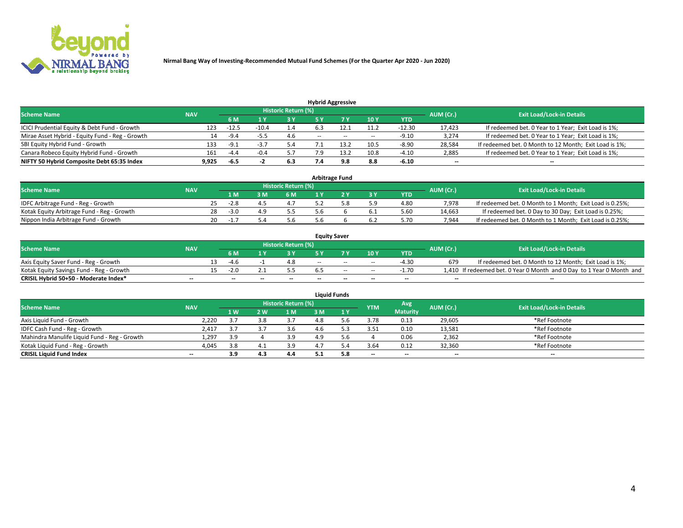

|                                                 | <b>Hybrid Aggressive</b> |                                  |        |     |              |      |        |            |        |                                                        |  |  |  |  |  |
|-------------------------------------------------|--------------------------|----------------------------------|--------|-----|--------------|------|--------|------------|--------|--------------------------------------------------------|--|--|--|--|--|
| <b>Scheme Name</b>                              | AUM (Cr.)                | <b>Exit Load/Lock-in Details</b> |        |     |              |      |        |            |        |                                                        |  |  |  |  |  |
|                                                 | <b>NAV</b>               | 6 M                              |        | 3 Y |              |      | 10Y    | <b>YTD</b> |        |                                                        |  |  |  |  |  |
| ICICI Prudential Equity & Debt Fund - Growth    | 123                      | $-12.5$                          |        | 1.4 |              |      | 11.2   | -12.30     | 17.423 | If redeemed bet. 0 Year to 1 Year; Exit Load is 1%;    |  |  |  |  |  |
| Mirae Asset Hybrid - Equity Fund - Reg - Growth | 14                       | -9.4                             |        | 4.6 | <b>COLUM</b> | $-$  | $\sim$ | $-9.10$    | 3,274  | If redeemed bet. 0 Year to 1 Year; Exit Load is 1%;    |  |  |  |  |  |
| SBI Equity Hybrid Fund - Growth                 | 133                      | $-9.1$                           |        | 5.4 |              | ∶ ຊາ | 10.5   | $-8.90$    | 28,584 | If redeemed bet. 0 Month to 12 Month; Exit Load is 1%; |  |  |  |  |  |
| Canara Robeco Equity Hybrid Fund - Growth       | 161                      | -4.4                             | $-0.4$ | 5.7 | 7.9          | 13 2 | 10.8   | $-4.10$    | 2,885  | If redeemed bet. 0 Year to 1 Year; Exit Load is 1%;    |  |  |  |  |  |
| NIFTY 50 Hybrid Composite Debt 65:35 Index      | 9,925                    | -6.5                             |        | 6.3 | 7.4          | 9.8  | 8.8    | $-6.10$    | $-$    | --                                                     |  |  |  |  |  |

|                                            |            |     |        |     |                            | <b>Arbitrage Fund</b> |           |            |           |                                                          |
|--------------------------------------------|------------|-----|--------|-----|----------------------------|-----------------------|-----------|------------|-----------|----------------------------------------------------------|
| <b>Scheme Name</b>                         | <b>NAV</b> |     |        |     | <b>Historic Return (%)</b> |                       |           |            | AUM (Cr.) | <b>Exit Load/Lock-in Details</b>                         |
|                                            |            |     | ıм     | 3 M | <b>6M</b>                  |                       | <b>3Y</b> | <b>YTD</b> |           |                                                          |
| IDFC Arbitrage Fund - Reg - Growth         |            | 25. | $-2.8$ |     | 4.7                        |                       | 5.9       | 4.80       | 7.978     | If redeemed bet. 0 Month to 1 Month; Exit Load is 0.25%; |
| Kotak Equity Arbitrage Fund - Reg - Growth |            | 28  | $-3.0$ |     |                            |                       | 6.1       | 5.60       | 14.663    | If redeemed bet. 0 Day to 30 Day; Exit Load is 0.25%;    |
| Nippon India Arbitrage Fund - Growth       |            |     | -1     |     | 5.6                        |                       |           | 5.70       | 7.944     | If redeemed bet. 0 Month to 1 Month; Exit Load is 0.25%; |

|                                          |            |                          |    |                     |     | <b>Equity Saver</b>      |                          |                          |           |                                                                       |
|------------------------------------------|------------|--------------------------|----|---------------------|-----|--------------------------|--------------------------|--------------------------|-----------|-----------------------------------------------------------------------|
| <b>Scheme Name</b>                       | <b>NAV</b> |                          |    | Historic Return (%) |     |                          |                          |                          | AUM (Cr.) | <b>Exit Load/Lock-in Details</b>                                      |
|                                          |            | 6 M                      |    | 3 Y                 |     |                          | 10Y                      | <b>YTD</b>               |           |                                                                       |
| Axis Equity Saver Fund - Reg - Growth    |            | -4.6                     |    |                     | $-$ | $-$                      | $\sim$                   | -4.30                    | 679       | If redeemed bet. 0 Month to 12 Month; Exit Load is 1%;                |
| Kotak Equity Savings Fund - Reg - Growth |            | $-2.0$                   |    |                     |     | $-$                      | $\sim$                   | $-1.70$                  |           | 1,410 If redeemed bet. 0 Year 0 Month and 0 Day to 1 Year 0 Month and |
| CRISIL Hybrid 50+50 - Moderate Index*    | $- -$      | $\overline{\phantom{a}}$ | -- | $-$                 | $-$ | $\overline{\phantom{a}}$ | $\overline{\phantom{a}}$ | $\overline{\phantom{a}}$ | $- -$     | $\overline{\phantom{a}}$                                              |

| <b>Liquid Funds</b>                          |                          |     |      |                     |     |     |                          |                          |           |                                  |  |  |  |
|----------------------------------------------|--------------------------|-----|------|---------------------|-----|-----|--------------------------|--------------------------|-----------|----------------------------------|--|--|--|
| <b>Scheme Name</b>                           | <b>NAV</b>               |     |      | Historic Return (%) |     |     | <b>YTM</b>               | Avg                      | AUM (Cr.) | <b>Exit Load/Lock-in Details</b> |  |  |  |
|                                              |                          | 1W  | 2 W. | 1 M                 | : M | 1 Y |                          | <b>Maturity</b>          |           |                                  |  |  |  |
| Axis Liquid Fund - Growth                    | 2,220                    |     |      | 37                  | 4.8 |     | 3.78                     | 0.13                     | 29,605    | *Ref Footnote                    |  |  |  |
| IDFC Cash Fund - Reg - Growth                | 2,417                    |     |      | 3.6                 | 4.b |     | 3.51                     | 0.10                     | 13,581    | *Ref Footnote                    |  |  |  |
| Mahindra Manulife Liquid Fund - Reg - Growth | 1,297                    | 3.9 |      | 3.9                 | 4.9 | .b  |                          | 0.06                     | 2,362     | *Ref Footnote                    |  |  |  |
| Kotak Liquid Fund - Reg - Growth             | 4,045                    | 3.8 |      | 3.9                 |     |     | 3.64                     | 0.12                     | 32,360    | *Ref Footnote                    |  |  |  |
| <b>CRISIL Liquid Fund Index</b>              | $\overline{\phantom{a}}$ | 3.9 | 4.3  | 4.4                 |     | 5.8 | $\overline{\phantom{a}}$ | $\overline{\phantom{a}}$ | $- -$     | $- -$                            |  |  |  |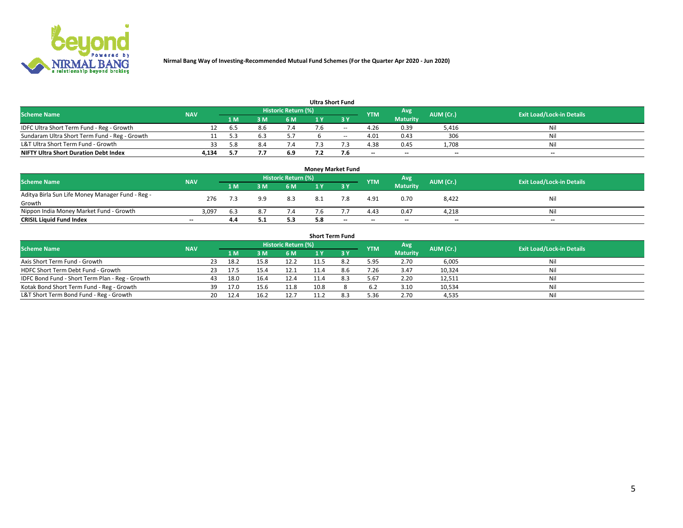

|  |  | <b>Ultra Short Fund</b> |  |
|--|--|-------------------------|--|
|--|--|-------------------------|--|

| vitia Jilvit i uliu                           |            |     |      |                     |    |        |            |                 |           |                                  |  |  |
|-----------------------------------------------|------------|-----|------|---------------------|----|--------|------------|-----------------|-----------|----------------------------------|--|--|
| <b>Scheme Name</b>                            | <b>NAV</b> |     |      | Historic Return (%) |    |        | <b>YTM</b> | Avg             | AUM (Cr.) | <b>Exit Load/Lock-in Details</b> |  |  |
|                                               |            | 1 M | 2 M. | 6 M                 | LΥ |        |            | <b>Maturity</b> |           |                                  |  |  |
| IDFC Ultra Short Term Fund - Reg - Growth     |            | b.5 |      |                     |    | $- -$  | 4.26       | 0.39            | 5,416     | Nil                              |  |  |
| Sundaram Ultra Short Term Fund - Reg - Growth |            |     |      |                     |    | $\sim$ | 4.01       | 0.43            | 306       | Nil                              |  |  |
| L&T Ultra Short Term Fund - Growth            |            | 58  |      |                     |    |        | 4.38       | 0.45            | 1.708     | Nil                              |  |  |
| <b>NIFTY Ultra Short Duration Debt Index</b>  | 4.134      |     |      | 6.9                 |    | 7.6    | $-$        | $-$             | $- -$     | $\overline{\phantom{a}}$         |  |  |

| <b>Money Market Fund</b>                         |            |      |     |                            |  |                          |            |                 |           |                                  |  |  |  |
|--------------------------------------------------|------------|------|-----|----------------------------|--|--------------------------|------------|-----------------|-----------|----------------------------------|--|--|--|
| <b>Scheme Name</b>                               | <b>NAV</b> |      |     | <b>Historic Return (%)</b> |  |                          | <b>YTM</b> | Avg             | AUM (Cr.) | <b>Exit Load/Lock-in Details</b> |  |  |  |
|                                                  |            | '1 M | 3 M | 6 M                        |  |                          |            | <b>Maturity</b> |           |                                  |  |  |  |
| Aditya Birla Sun Life Money Manager Fund - Reg - | 276        |      | 9.9 | 8.3                        |  |                          | 4.91       | 0.70            | 8,422     | Nil                              |  |  |  |
| Growth                                           |            |      |     |                            |  |                          |            |                 |           |                                  |  |  |  |
| Nippon India Money Market Fund - Growth          | 3,097      | 6.3  | 8.7 | 7.4                        |  |                          | 4.43       | 0.47            | 4.218     | Nil                              |  |  |  |
| <b>CRISIL Liquid Fund Index</b>                  | $-$        | 4.4  |     | 5.3                        |  | $\overline{\phantom{a}}$ | $-$        | $-$             | $- -$     | $- -$                            |  |  |  |

| <b>Short Term Fund</b>                          |            |     |      |      |                     |      |           |            |                 |           |                                  |  |  |
|-------------------------------------------------|------------|-----|------|------|---------------------|------|-----------|------------|-----------------|-----------|----------------------------------|--|--|
| <b>Scheme Name</b>                              | <b>NAV</b> |     |      |      | Historic Return (%) |      |           | <b>YTM</b> | Avg             | AUM (Cr.) | <b>Exit Load/Lock-in Details</b> |  |  |
|                                                 |            |     | 1 M  | 3 M  | 6 M                 |      | <b>3Y</b> |            | <b>Maturity</b> |           |                                  |  |  |
| Axis Short Term Fund - Growth                   |            | 23  | 18.2 | 15.8 | 12.2                |      |           | 5.95       | 2.70            | 6,005     | Nil                              |  |  |
| HDFC Short Term Debt Fund - Growth              |            | 23. | 17.5 |      | 12.1                |      | 8.6       | 7.26       | 3.47            | 10,324    | Nil                              |  |  |
| IDFC Bond Fund - Short Term Plan - Reg - Growth |            | 43  | 18.0 | 16.4 | 12.4                | 11.4 | 8.3       | 5.67       | 2.20            | 12,511    | Nil                              |  |  |
| Kotak Bond Short Term Fund - Reg - Growth       |            | 39  | 17.0 | 15.6 | 11.8                | 10.8 |           | 6.2        | 3.10            | 10,534    | Nil                              |  |  |
| L&T Short Term Bond Fund - Reg - Growth         |            | 20  | 12.4 | 16.2 | 12.7                | 11.2 |           | 5.36       | 2.70            | 4,535     | Nil                              |  |  |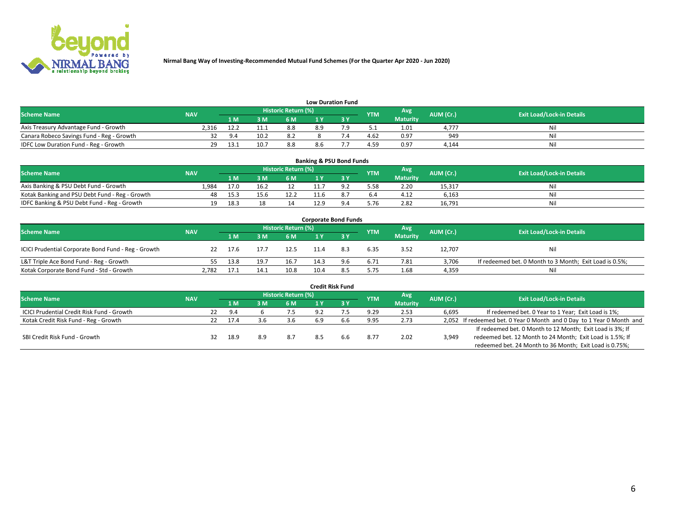

| <b>Low Duration Fund</b> |
|--------------------------|
|--------------------------|

| <b>Scheme Name</b>                        | <b>NAV</b> |     |      | Historic Return (%) |     |  | <b>YTM</b> | <b>Avg</b>      | AUM (Cr.) | <b>Exit Load/Lock-in Details</b> |  |  |
|-------------------------------------------|------------|-----|------|---------------------|-----|--|------------|-----------------|-----------|----------------------------------|--|--|
|                                           |            | 1 M | 3 M  | 6 M                 | . M |  |            | <b>Maturity</b> |           |                                  |  |  |
| Axis Treasury Advantage Fund - Growth     | 2.316      |     |      | 8.8                 | 8.9 |  | ے . ب      | 1.01            | 4.777     | Ni                               |  |  |
| Canara Robeco Savings Fund - Reg - Growth |            |     | 10.2 | 8.2                 |     |  | 4.62       | 0.97            | 949       |                                  |  |  |
| IDFC Low Duration Fund - Reg - Growth     | ີ          |     |      | 8.8                 |     |  | 4.59       | 0.97            | 4.144     | Ni                               |  |  |

| <b>Banking &amp; PSU Bond Funds</b>            |            |      |      |                            |      |     |            |                 |           |                                  |  |  |  |
|------------------------------------------------|------------|------|------|----------------------------|------|-----|------------|-----------------|-----------|----------------------------------|--|--|--|
| <b>Scheme Name</b>                             | <b>NAV</b> |      |      | <b>Historic Return (%)</b> |      |     | <b>YTM</b> | Avg             | AUM (Cr.) | <b>Exit Load/Lock-in Details</b> |  |  |  |
|                                                |            | 1 M  | ЗM   | 6 M                        |      |     |            | <b>Maturity</b> |           |                                  |  |  |  |
| Axis Banking & PSU Debt Fund - Growth          | 1.984      | 17.0 | 16.2 |                            |      |     | 5.58       | 2.20            | 15,317    | Nil                              |  |  |  |
| Kotak Banking and PSU Debt Fund - Reg - Growth | 48         | 15.3 | 15.6 | 12.2                       | 11.6 |     | 6.4        | 4.12            | 6.163     | Nil                              |  |  |  |
| IDFC Banking & PSU Debt Fund - Reg - Growth    | 19         | 18.3 |      | 14                         | 12.9 | 9.4 | 5.76       | 2.82            | 16,791    | Nil                              |  |  |  |

| <b>Corporate Bond Funds</b>                         |            |      |      |                     |      |     |            |                 |           |                                                         |  |  |  |
|-----------------------------------------------------|------------|------|------|---------------------|------|-----|------------|-----------------|-----------|---------------------------------------------------------|--|--|--|
| <b>Scheme Name</b>                                  | <b>NAV</b> |      |      | Historic Return (%) |      |     | <b>YTM</b> | Avg             | AUM (Cr.) | <b>Exit Load/Lock-in Details</b>                        |  |  |  |
|                                                     |            | 1 M  | 3 M  | 6 M                 |      |     |            | <b>Maturity</b> |           |                                                         |  |  |  |
| ICICI Prudential Corporate Bond Fund - Reg - Growth | 22         | 17.6 | 17.7 | 12.5                | 11.4 | 8.3 | 6.35       | 3.52            | 12,707    | Nil                                                     |  |  |  |
| L&T Triple Ace Bond Fund - Reg - Growth             |            | 13.8 | 19.7 | 16.7                | 14.3 | 9.6 | 6.71       | 7.81            | 3,706     | If redeemed bet. 0 Month to 3 Month; Exit Load is 0.5%; |  |  |  |
| Kotak Corporate Bond Fund - Std - Growth            | 2,782      | 17.1 | 14.1 | 10.8                |      |     | 5.75       | 1.68            | 4,359     | Nil                                                     |  |  |  |

|                                            |            |    |      |     |                            |     | <b>Credit Risk Fund</b> |            |                 |           |                                                                       |
|--------------------------------------------|------------|----|------|-----|----------------------------|-----|-------------------------|------------|-----------------|-----------|-----------------------------------------------------------------------|
| <b>Scheme Name</b>                         | <b>NAV</b> |    |      |     | <b>Historic Return (%)</b> |     |                         | <b>YTM</b> | Avg             | AUM (Cr.) | <b>Exit Load/Lock-in Details</b>                                      |
|                                            |            |    | 1 M  | 3 M | 6 M                        |     | 3 Y                     |            | <b>Maturity</b> |           |                                                                       |
| ICICI Prudential Credit Risk Fund - Growth |            | 22 | 9.4  |     | 7.5                        | 9.2 |                         | 9.29       | 2.53            | 6,695     | If redeemed bet. 0 Year to 1 Year; Exit Load is 1%;                   |
| Kotak Credit Risk Fund - Reg - Growth      |            | 22 | 17.4 |     | 3.6                        | 6.9 |                         | 9.95       | 2.73            |           | 2,052 If redeemed bet. 0 Year 0 Month and 0 Day to 1 Year 0 Month and |
|                                            |            |    |      |     |                            |     |                         |            |                 |           | If redeemed bet. 0 Month to 12 Month; Exit Load is 3%; If             |
| SBI Credit Risk Fund - Growth              |            | 32 | 18.9 | 8.9 | 8.7                        | 8.5 | b.b                     | 8.77       | 2.02            | 3,949     | redeemed bet. 12 Month to 24 Month; Exit Load is 1.5%; If             |
|                                            |            |    |      |     |                            |     |                         |            |                 |           | redeemed bet. 24 Month to 36 Month; Exit Load is 0.75%;               |